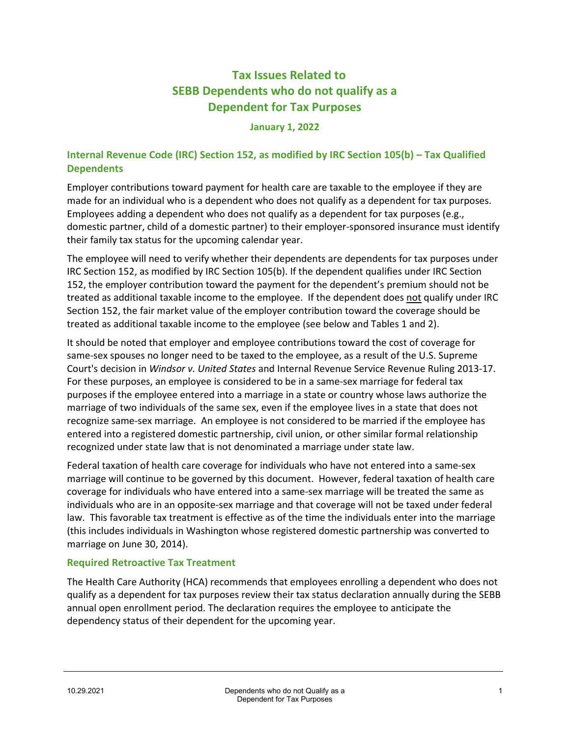# **Tax Issues Related to SEBB Dependents who do not qualify as a Dependent for Tax Purposes**

#### **January 1, 2022**

### **Internal Revenue Code (IRC) Section 152, as modified by IRC Section 105(b) – Tax Qualified Dependents**

Employer contributions toward payment for health care are taxable to the employee if they are made for an individual who is a dependent who does not qualify as a dependent for tax purposes. Employees adding a dependent who does not qualify as a dependent for tax purposes (e.g., domestic partner, child of a domestic partner) to their employer-sponsored insurance must identify their family tax status for the upcoming calendar year.

The employee will need to verify whether their dependents are dependents for tax purposes under IRC Section 152, as modified by IRC Section 105(b). If the dependent qualifies under IRC Section 152, the employer contribution toward the payment for the dependent's premium should not be treated as additional taxable income to the employee. If the dependent does not qualify under IRC Section 152, the fair market value of the employer contribution toward the coverage should be treated as additional taxable income to the employee (see below and Tables 1 and 2).

It should be noted that employer and employee contributions toward the cost of coverage for same-sex spouses no longer need to be taxed to the employee, as a result of the U.S. Supreme Court's decision in *Windsor v. United States* and Internal Revenue Service Revenue Ruling 2013-17. For these purposes, an employee is considered to be in a same-sex marriage for federal tax purposes if the employee entered into a marriage in a state or country whose laws authorize the marriage of two individuals of the same sex, even if the employee lives in a state that does not recognize same-sex marriage. An employee is not considered to be married if the employee has entered into a registered domestic partnership, civil union, or other similar formal relationship recognized under state law that is not denominated a marriage under state law.

Federal taxation of health care coverage for individuals who have not entered into a same-sex marriage will continue to be governed by this document. However, federal taxation of health care coverage for individuals who have entered into a same-sex marriage will be treated the same as individuals who are in an opposite-sex marriage and that coverage will not be taxed under federal law. This favorable tax treatment is effective as of the time the individuals enter into the marriage (this includes individuals in Washington whose registered domestic partnership was converted to marriage on June 30, 2014).

### **Required Retroactive Tax Treatment**

The Health Care Authority (HCA) recommends that employees enrolling a dependent who does not qualify as a dependent for tax purposes review their tax status declaration annually during the SEBB annual open enrollment period. The declaration requires the employee to anticipate the dependency status of their dependent for the upcoming year.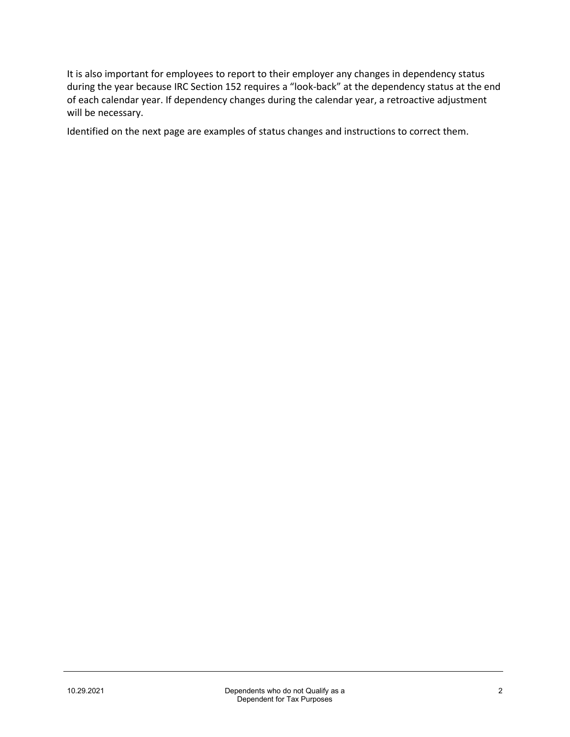It is also important for employees to report to their employer any changes in dependency status during the year because IRC Section 152 requires a "look-back" at the dependency status at the end of each calendar year. If dependency changes during the calendar year, a retroactive adjustment will be necessary.

Identified on the next page are examples of status changes and instructions to correct them.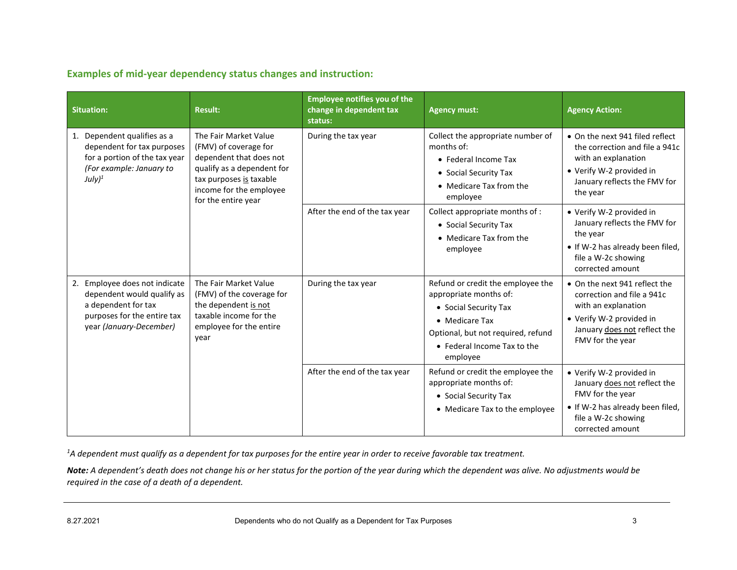**Examples of mid-year dependency status changes and instruction:**

| <b>Situation:</b>                                                                                                                            | <b>Result:</b>                                                                                                                                                                               | <b>Employee notifies you of the</b><br>change in dependent tax<br>status: | <b>Agency must:</b>                                                                                                                                       | <b>Agency Action:</b>                                                                                                                                              |
|----------------------------------------------------------------------------------------------------------------------------------------------|----------------------------------------------------------------------------------------------------------------------------------------------------------------------------------------------|---------------------------------------------------------------------------|-----------------------------------------------------------------------------------------------------------------------------------------------------------|--------------------------------------------------------------------------------------------------------------------------------------------------------------------|
| 1. Dependent qualifies as a<br>dependent for tax purposes<br>for a portion of the tax year<br>(For example: January to<br>July) <sup>1</sup> | The Fair Market Value<br>(FMV) of coverage for<br>dependent that does not<br>qualify as a dependent for<br>tax purposes is taxable<br>income for the employee<br>for the entire year         | During the tax year                                                       | Collect the appropriate number of<br>months of:<br>• Federal Income Tax<br>• Social Security Tax<br>• Medicare Tax from the<br>employee                   | • On the next 941 filed reflect<br>the correction and file a 941c<br>with an explanation<br>• Verify W-2 provided in<br>January reflects the FMV for<br>the year   |
|                                                                                                                                              |                                                                                                                                                                                              | After the end of the tax year                                             | Collect appropriate months of :<br>• Social Security Tax<br>• Medicare Tax from the<br>employee                                                           | • Verify W-2 provided in<br>January reflects the FMV for<br>the year<br>• If W-2 has already been filed,<br>file a W-2c showing<br>corrected amount                |
| 2. Employee does not indicate<br>dependent would qualify as<br>a dependent for tax<br>purposes for the entire tax<br>year (January-December) | The Fair Market Value<br>During the tax year<br>(FMV) of the coverage for<br>the dependent is not<br>taxable income for the<br>• Medicare Tax<br>employee for the entire<br>year<br>employee |                                                                           | Refund or credit the employee the<br>appropriate months of:<br>• Social Security Tax<br>Optional, but not required, refund<br>• Federal Income Tax to the | • On the next 941 reflect the<br>correction and file a 941c<br>with an explanation<br>• Verify W-2 provided in<br>January does not reflect the<br>FMV for the year |
|                                                                                                                                              |                                                                                                                                                                                              | After the end of the tax year                                             | Refund or credit the employee the<br>appropriate months of:<br>• Social Security Tax<br>• Medicare Tax to the employee                                    | • Verify W-2 provided in<br>January does not reflect the<br>FMV for the year<br>• If W-2 has already been filed,<br>file a W-2c showing<br>corrected amount        |

*1 A dependent must qualify as a dependent for tax purposes for the entire year in order to receive favorable tax treatment.*

*Note: A dependent's death does not change his or her status for the portion of the year during which the dependent was alive. No adjustments would be required in the case of a death of a dependent.*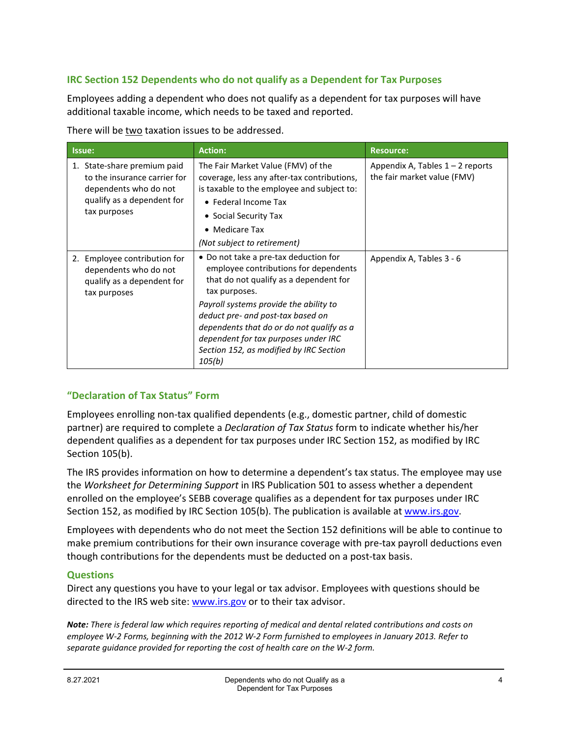## **IRC Section 152 Dependents who do not qualify as a Dependent for Tax Purposes**

Employees adding a dependent who does not qualify as a dependent for tax purposes will have additional taxable income, which needs to be taxed and reported.

There will be two taxation issues to be addressed.

| Issue:                                                                                                                             | <b>Action:</b>                                                                                                                                                                                                                                                                                                                                                     | <b>Resource:</b>                                                  |
|------------------------------------------------------------------------------------------------------------------------------------|--------------------------------------------------------------------------------------------------------------------------------------------------------------------------------------------------------------------------------------------------------------------------------------------------------------------------------------------------------------------|-------------------------------------------------------------------|
| 1. State-share premium paid<br>to the insurance carrier for<br>dependents who do not<br>qualify as a dependent for<br>tax purposes | The Fair Market Value (FMV) of the<br>coverage, less any after-tax contributions,<br>is taxable to the employee and subject to:<br>• Federal Income Tax<br>• Social Security Tax<br>• Medicare Tax<br>(Not subject to retirement)                                                                                                                                  | Appendix A, Tables $1 - 2$ reports<br>the fair market value (FMV) |
| 2. Employee contribution for<br>dependents who do not<br>qualify as a dependent for<br>tax purposes                                | • Do not take a pre-tax deduction for<br>employee contributions for dependents<br>that do not qualify as a dependent for<br>tax purposes.<br>Payroll systems provide the ability to<br>deduct pre- and post-tax based on<br>dependents that do or do not qualify as a<br>dependent for tax purposes under IRC<br>Section 152, as modified by IRC Section<br>105(b) | Appendix A, Tables 3 - 6                                          |

### **"Declaration of Tax Status" Form**

Employees enrolling non-tax qualified dependents (e.g., domestic partner, child of domestic partner) are required to complete a *Declaration of Tax Status* form to indicate whether his/her dependent qualifies as a dependent for tax purposes under IRC Section 152, as modified by IRC Section 105(b).

The IRS provides information on how to determine a dependent's tax status. The employee may use the *Worksheet for Determining Support* in IRS Publication 501 to assess whether a dependent enrolled on the employee's SEBB coverage qualifies as a dependent for tax purposes under IRC Section 152, as modified by IRC Section 105(b). The publication is available a[t www.irs.gov.](http://www.irs.gov/)

Employees with dependents who do not meet the Section 152 definitions will be able to continue to make premium contributions for their own insurance coverage with pre-tax payroll deductions even though contributions for the dependents must be deducted on a post-tax basis.

### **Questions**

Direct any questions you have to your legal or tax advisor. Employees with questions should be directed to the IRS web site: [www.irs.gov](http://www.irs.gov/) or to their tax advisor.

*Note: There is federal law which requires reporting of medical and dental related contributions and costs on employee W-2 Forms, beginning with the 2012 W-2 Form furnished to employees in January 2013. Refer to separate guidance provided for reporting the cost of health care on the W-2 form.*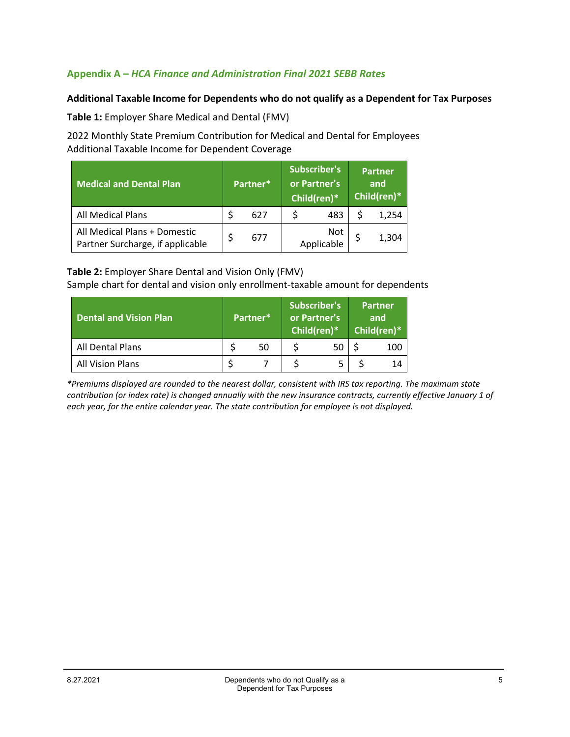### **Appendix A –** *HCA Finance and Administration Final 2021 SEBB Rates*

### **Additional Taxable Income for Dependents who do not qualify as a Dependent for Tax Purposes**

**Table 1:** Employer Share Medical and Dental (FMV)

2022 Monthly State Premium Contribution for Medical and Dental for Employees Additional Taxable Income for Dependent Coverage

| <b>Medical and Dental Plan</b>                                   | Partner* |     | <b>Subscriber's</b><br>or Partner's<br>Child(ren)* |                   | <b>Partner</b><br>and<br>Child(ren)* |       |
|------------------------------------------------------------------|----------|-----|----------------------------------------------------|-------------------|--------------------------------------|-------|
| All Medical Plans                                                |          | 627 |                                                    | 483               |                                      | 1,254 |
| All Medical Plans + Domestic<br>Partner Surcharge, if applicable |          | 677 |                                                    | Not<br>Applicable |                                      | 1,304 |

#### **Table 2:** Employer Share Dental and Vision Only (FMV)

Sample chart for dental and vision only enrollment-taxable amount for dependents

| <b>Dental and Vision Plan</b> | Partner* |    | Subscriber's<br>or Partner's<br>Child(ren)* |  | <b>Partner</b><br>and<br>Child(ren)* |     |
|-------------------------------|----------|----|---------------------------------------------|--|--------------------------------------|-----|
| All Dental Plans              |          | 50 |                                             |  |                                      | 100 |
| <b>All Vision Plans</b>       |          |    |                                             |  |                                      | 14  |

*\*Premiums displayed are rounded to the nearest dollar, consistent with IRS tax reporting. The maximum state contribution (or index rate) is changed annually with the new insurance contracts, currently effective January 1 of each year, for the entire calendar year. The state contribution for employee is not displayed.*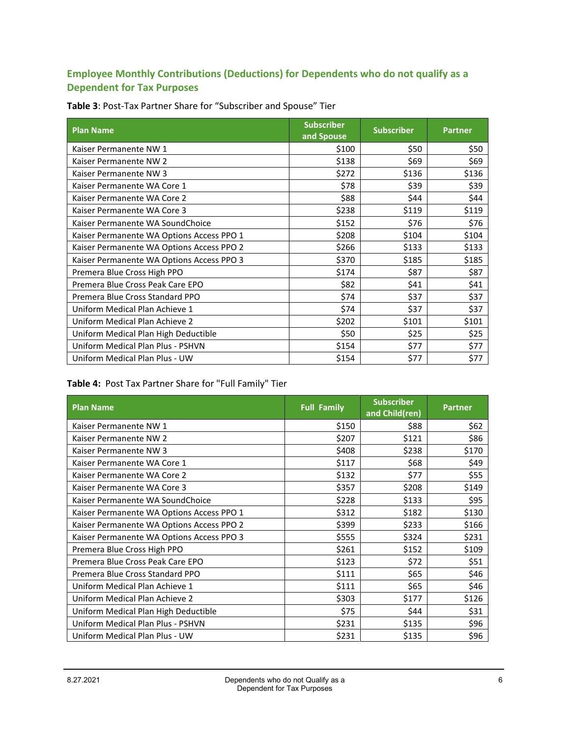# **Employee Monthly Contributions (Deductions) for Dependents who do not qualify as a Dependent for Tax Purposes**

| <b>Plan Name</b>                          | <b>Subscriber</b><br>and Spouse | <b>Subscriber</b> | <b>Partner</b> |
|-------------------------------------------|---------------------------------|-------------------|----------------|
| Kaiser Permanente NW 1                    | \$100                           | \$50              | \$50           |
| Kaiser Permanente NW 2                    | \$138                           | \$69              | \$69           |
| Kaiser Permanente NW 3                    | \$272                           | \$136             | \$136          |
| Kaiser Permanente WA Core 1               | \$78                            | \$39              | \$39           |
| Kaiser Permanente WA Core 2               | \$88                            | \$44              | \$44           |
| Kaiser Permanente WA Core 3               | \$238                           | \$119             | \$119          |
| Kaiser Permanente WA SoundChoice          | \$152                           | \$76              | \$76           |
| Kaiser Permanente WA Options Access PPO 1 | \$208                           | \$104             | \$104          |
| Kaiser Permanente WA Options Access PPO 2 | \$266                           | \$133             | \$133          |
| Kaiser Permanente WA Options Access PPO 3 | \$370                           | \$185             | \$185          |
| Premera Blue Cross High PPO               | \$174                           | \$87              | \$87           |
| Premera Blue Cross Peak Care EPO          | \$82                            | \$41              | \$41           |
| Premera Blue Cross Standard PPO           | \$74                            | \$37              | \$37           |
| Uniform Medical Plan Achieve 1            | \$74                            | \$37              | \$37           |
| Uniform Medical Plan Achieve 2            | \$202                           | \$101             | \$101          |
| Uniform Medical Plan High Deductible      | \$50                            | \$25              | \$25           |
| Uniform Medical Plan Plus - PSHVN         | \$154                           | \$77              | \$77           |
| Uniform Medical Plan Plus - UW            | \$154                           | \$77              | \$77           |

**Table 3**: Post-Tax Partner Share for "Subscriber and Spouse" Tier

# **Table 4:** Post Tax Partner Share for "Full Family" Tier

| <b>Plan Name</b>                          | <b>Full Family</b> | <b>Subscriber</b><br>and Child(ren) | <b>Partner</b> |
|-------------------------------------------|--------------------|-------------------------------------|----------------|
| Kaiser Permanente NW 1                    | \$150              | \$88                                | \$62           |
| Kaiser Permanente NW 2                    | \$207              | \$121                               | \$86           |
| Kaiser Permanente NW 3                    | \$408              | \$238                               | \$170          |
| Kaiser Permanente WA Core 1               | \$117              | \$68                                | \$49           |
| Kaiser Permanente WA Core 2               | \$132              | \$77                                | \$55           |
| Kaiser Permanente WA Core 3               | \$357              | \$208                               | \$149          |
| Kaiser Permanente WA SoundChoice          | \$228              | \$133                               | \$95           |
| Kaiser Permanente WA Options Access PPO 1 | \$312              | \$182                               | \$130          |
| Kaiser Permanente WA Options Access PPO 2 | \$399              | \$233                               | \$166          |
| Kaiser Permanente WA Options Access PPO 3 | \$555              | \$324                               | \$231          |
| Premera Blue Cross High PPO               | \$261              | \$152                               | \$109          |
| Premera Blue Cross Peak Care EPO          | \$123              | \$72                                | \$51           |
| Premera Blue Cross Standard PPO           | \$111              | \$65                                | \$46           |
| Uniform Medical Plan Achieve 1            | \$111              | \$65                                | \$46           |
| Uniform Medical Plan Achieve 2            | \$303              | \$177                               | \$126          |
| Uniform Medical Plan High Deductible      | \$75               | \$44                                | \$31           |
| Uniform Medical Plan Plus - PSHVN         | \$231              | \$135                               | \$96           |
| Uniform Medical Plan Plus - UW            | \$231              | \$135                               | \$96           |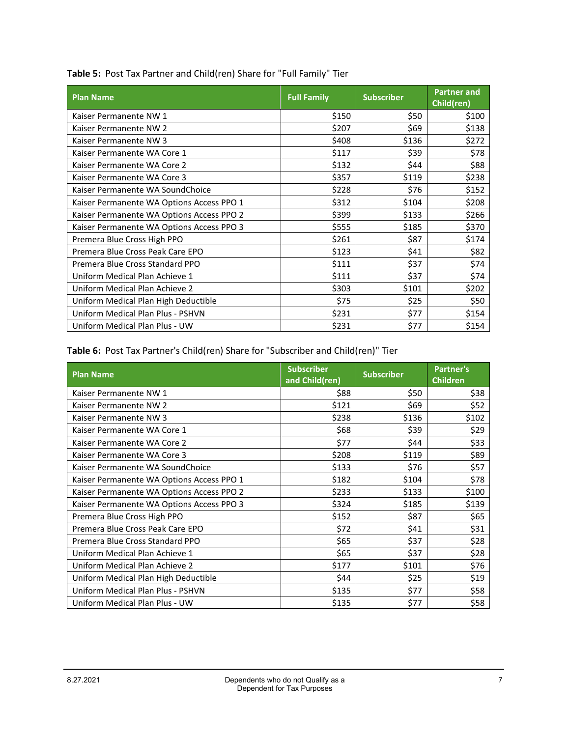| <b>Plan Name</b>                          | <b>Full Family</b> | <b>Subscriber</b> | <b>Partner and</b><br>Child(ren) |
|-------------------------------------------|--------------------|-------------------|----------------------------------|
| Kaiser Permanente NW 1                    | \$150              | \$50              | \$100                            |
| Kaiser Permanente NW 2                    | \$207              | \$69              | \$138                            |
| Kaiser Permanente NW 3                    | \$408              | \$136             | \$272                            |
| Kaiser Permanente WA Core 1               | \$117              | \$39              | \$78                             |
| Kaiser Permanente WA Core 2               | \$132              | \$44              | \$88                             |
| Kaiser Permanente WA Core 3               | \$357              | \$119             | \$238                            |
| Kaiser Permanente WA SoundChoice          | \$228              | \$76              | \$152                            |
| Kaiser Permanente WA Options Access PPO 1 | \$312              | \$104             | \$208                            |
| Kaiser Permanente WA Options Access PPO 2 | \$399              | \$133             | \$266                            |
| Kaiser Permanente WA Options Access PPO 3 | \$555              | \$185             | \$370                            |
| Premera Blue Cross High PPO               | \$261              | \$87              | \$174                            |
| Premera Blue Cross Peak Care EPO          | \$123              | \$41              | \$82                             |
| Premera Blue Cross Standard PPO           | \$111              | \$37              | \$74                             |
| Uniform Medical Plan Achieve 1            | \$111              | \$37              | \$74                             |
| Uniform Medical Plan Achieve 2            | \$303              | \$101             | \$202                            |
| Uniform Medical Plan High Deductible      | \$75               | \$25              | \$50                             |
| Uniform Medical Plan Plus - PSHVN         | \$231              | \$77              | \$154                            |
| Uniform Medical Plan Plus - UW            | \$231              | \$77              | \$154                            |

**Table 5:** Post Tax Partner and Child(ren) Share for "Full Family" Tier

**Table 6:** Post Tax Partner's Child(ren) Share for "Subscriber and Child(ren)" Tier

| <b>Plan Name</b>                          | <b>Subscriber</b><br>and Child(ren) | <b>Subscriber</b> | <b>Partner's</b><br><b>Children</b> |
|-------------------------------------------|-------------------------------------|-------------------|-------------------------------------|
| Kaiser Permanente NW 1                    | \$88                                | \$50              | \$38                                |
| Kaiser Permanente NW 2                    | \$121                               | \$69              | \$52                                |
| Kaiser Permanente NW 3                    | \$238                               | \$136             | \$102                               |
| Kaiser Permanente WA Core 1               | \$68                                | \$39              | \$29                                |
| Kaiser Permanente WA Core 2               | \$77                                | \$44              | \$33                                |
| Kaiser Permanente WA Core 3               | \$208                               | \$119             | \$89                                |
| Kaiser Permanente WA SoundChoice          | \$133                               | \$76              | \$57                                |
| Kaiser Permanente WA Options Access PPO 1 | \$182                               | \$104             | \$78                                |
| Kaiser Permanente WA Options Access PPO 2 | \$233                               | \$133             | \$100                               |
| Kaiser Permanente WA Options Access PPO 3 | \$324                               | \$185             | \$139                               |
| Premera Blue Cross High PPO               | \$152                               | \$87              | \$65                                |
| Premera Blue Cross Peak Care EPO          | \$72                                | \$41              | \$31                                |
| Premera Blue Cross Standard PPO           | \$65                                | \$37              | \$28                                |
| Uniform Medical Plan Achieve 1            | \$65                                | \$37              | \$28                                |
| Uniform Medical Plan Achieve 2            | \$177                               | \$101             | \$76                                |
| Uniform Medical Plan High Deductible      | \$44                                | \$25              | \$19                                |
| Uniform Medical Plan Plus - PSHVN         | \$135                               | \$77              | \$58                                |
| Uniform Medical Plan Plus - UW            | \$135                               | \$77              | \$58                                |